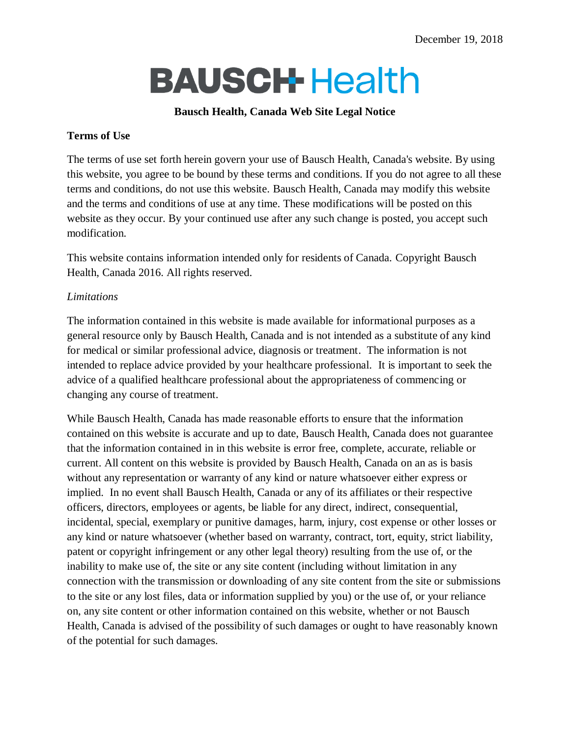# **BAUSCH-Health**

#### **Bausch Health, Canada Web Site Legal Notice**

#### **Terms of Use**

The terms of use set forth herein govern your use of Bausch Health, Canada's website. By using this website, you agree to be bound by these terms and conditions. If you do not agree to all these terms and conditions, do not use this website. Bausch Health, Canada may modify this website and the terms and conditions of use at any time. These modifications will be posted on this website as they occur. By your continued use after any such change is posted, you accept such modification.

This website contains information intended only for residents of Canada. Copyright Bausch Health, Canada 2016. All rights reserved.

## *Limitations*

The information contained in this website is made available for informational purposes as a general resource only by Bausch Health, Canada and is not intended as a substitute of any kind for medical or similar professional advice, diagnosis or treatment. The information is not intended to replace advice provided by your healthcare professional. It is important to seek the advice of a qualified healthcare professional about the appropriateness of commencing or changing any course of treatment.

While Bausch Health, Canada has made reasonable efforts to ensure that the information contained on this website is accurate and up to date, Bausch Health, Canada does not guarantee that the information contained in in this website is error free, complete, accurate, reliable or current. All content on this website is provided by Bausch Health, Canada on an as is basis without any representation or warranty of any kind or nature whatsoever either express or implied. In no event shall Bausch Health, Canada or any of its affiliates or their respective officers, directors, employees or agents, be liable for any direct, indirect, consequential, incidental, special, exemplary or punitive damages, harm, injury, cost expense or other losses or any kind or nature whatsoever (whether based on warranty, contract, tort, equity, strict liability, patent or copyright infringement or any other legal theory) resulting from the use of, or the inability to make use of, the site or any site content (including without limitation in any connection with the transmission or downloading of any site content from the site or submissions to the site or any lost files, data or information supplied by you) or the use of, or your reliance on, any site content or other information contained on this website, whether or not Bausch Health, Canada is advised of the possibility of such damages or ought to have reasonably known of the potential for such damages.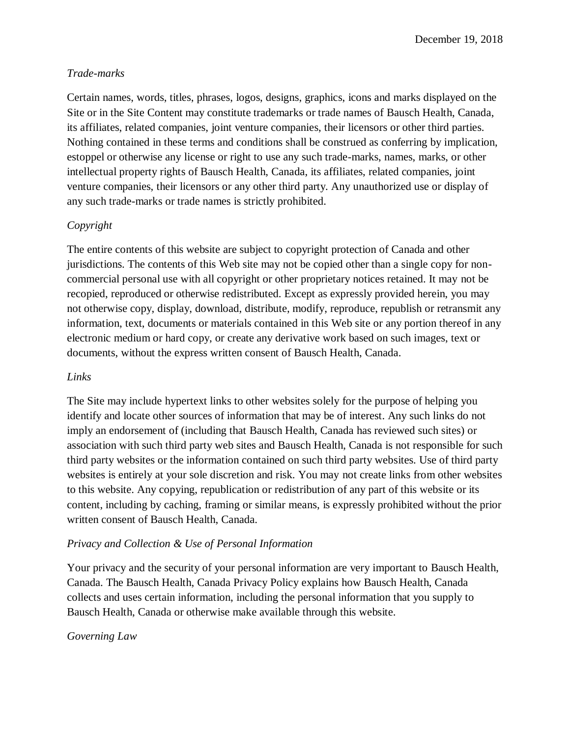#### *Trade-marks*

Certain names, words, titles, phrases, logos, designs, graphics, icons and marks displayed on the Site or in the Site Content may constitute trademarks or trade names of Bausch Health, Canada, its affiliates, related companies, joint venture companies, their licensors or other third parties. Nothing contained in these terms and conditions shall be construed as conferring by implication, estoppel or otherwise any license or right to use any such trade-marks, names, marks, or other intellectual property rights of Bausch Health, Canada, its affiliates, related companies, joint venture companies, their licensors or any other third party. Any unauthorized use or display of any such trade-marks or trade names is strictly prohibited.

# *Copyright*

The entire contents of this website are subject to copyright protection of Canada and other jurisdictions. The contents of this Web site may not be copied other than a single copy for noncommercial personal use with all copyright or other proprietary notices retained. It may not be recopied, reproduced or otherwise redistributed. Except as expressly provided herein, you may not otherwise copy, display, download, distribute, modify, reproduce, republish or retransmit any information, text, documents or materials contained in this Web site or any portion thereof in any electronic medium or hard copy, or create any derivative work based on such images, text or documents, without the express written consent of Bausch Health, Canada.

#### *Links*

The Site may include hypertext links to other websites solely for the purpose of helping you identify and locate other sources of information that may be of interest. Any such links do not imply an endorsement of (including that Bausch Health, Canada has reviewed such sites) or association with such third party web sites and Bausch Health, Canada is not responsible for such third party websites or the information contained on such third party websites. Use of third party websites is entirely at your sole discretion and risk. You may not create links from other websites to this website. Any copying, republication or redistribution of any part of this website or its content, including by caching, framing or similar means, is expressly prohibited without the prior written consent of Bausch Health, Canada.

#### *Privacy and Collection & Use of Personal Information*

Your privacy and the security of your personal information are very important to Bausch Health, Canada. The Bausch Health, Canada Privacy Policy explains how Bausch Health, Canada collects and uses certain information, including the personal information that you supply to Bausch Health, Canada or otherwise make available through this website.

#### *Governing Law*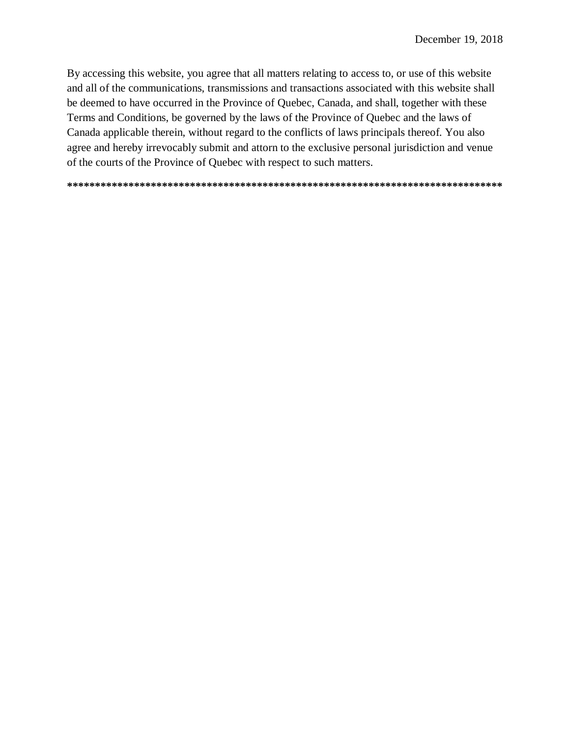By accessing this website, you agree that all matters relating to access to, or use of this website and all of the communications, transmissions and transactions associated with this website shall be deemed to have occurred in the Province of Quebec, Canada, and shall, together with these Terms and Conditions, be governed by the laws of the Province of Quebec and the laws of Canada applicable therein, without regard to the conflicts of laws principals thereof. You also agree and hereby irrevocably submit and attorn to the exclusive personal jurisdiction and venue of the courts of the Province of Quebec with respect to such matters.

**\*\*\*\*\*\*\*\*\*\*\*\*\*\*\*\*\*\*\*\*\*\*\*\*\*\*\*\*\*\*\*\*\*\*\*\*\*\*\*\*\*\*\*\*\*\*\*\*\*\*\*\*\*\*\*\*\*\*\*\*\*\*\*\*\*\*\*\*\*\*\*\*\*\*\*\*\*\***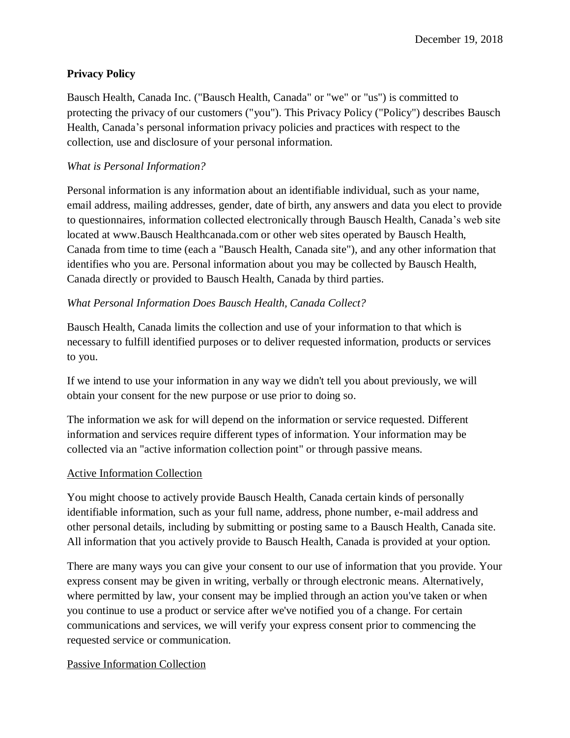# **Privacy Policy**

Bausch Health, Canada Inc. ("Bausch Health, Canada" or "we" or "us") is committed to protecting the privacy of our customers ("you"). This Privacy Policy ("Policy") describes Bausch Health, Canada's personal information privacy policies and practices with respect to the collection, use and disclosure of your personal information.

## *What is Personal Information?*

Personal information is any information about an identifiable individual, such as your name, email address, mailing addresses, gender, date of birth, any answers and data you elect to provide to questionnaires, information collected electronically through Bausch Health, Canada's web site located at www.Bausch Healthcanada.com or other web sites operated by Bausch Health, Canada from time to time (each a "Bausch Health, Canada site"), and any other information that identifies who you are. Personal information about you may be collected by Bausch Health, Canada directly or provided to Bausch Health, Canada by third parties.

# *What Personal Information Does Bausch Health, Canada Collect?*

Bausch Health, Canada limits the collection and use of your information to that which is necessary to fulfill identified purposes or to deliver requested information, products or services to you.

If we intend to use your information in any way we didn't tell you about previously, we will obtain your consent for the new purpose or use prior to doing so.

The information we ask for will depend on the information or service requested. Different information and services require different types of information. Your information may be collected via an "active information collection point" or through passive means.

#### Active Information Collection

You might choose to actively provide Bausch Health, Canada certain kinds of personally identifiable information, such as your full name, address, phone number, e-mail address and other personal details, including by submitting or posting same to a Bausch Health, Canada site. All information that you actively provide to Bausch Health, Canada is provided at your option.

There are many ways you can give your consent to our use of information that you provide. Your express consent may be given in writing, verbally or through electronic means. Alternatively, where permitted by law, your consent may be implied through an action you've taken or when you continue to use a product or service after we've notified you of a change. For certain communications and services, we will verify your express consent prior to commencing the requested service or communication.

#### Passive Information Collection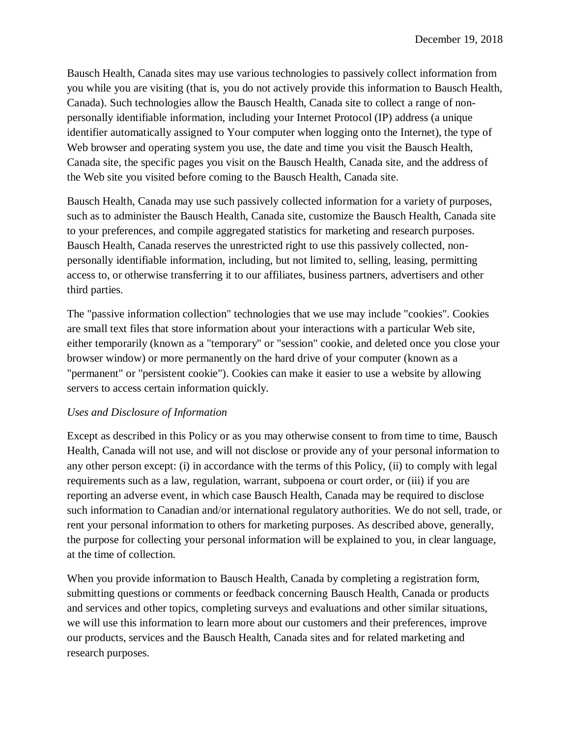Bausch Health, Canada sites may use various technologies to passively collect information from you while you are visiting (that is, you do not actively provide this information to Bausch Health, Canada). Such technologies allow the Bausch Health, Canada site to collect a range of nonpersonally identifiable information, including your Internet Protocol (IP) address (a unique identifier automatically assigned to Your computer when logging onto the Internet), the type of Web browser and operating system you use, the date and time you visit the Bausch Health, Canada site, the specific pages you visit on the Bausch Health, Canada site, and the address of the Web site you visited before coming to the Bausch Health, Canada site.

Bausch Health, Canada may use such passively collected information for a variety of purposes, such as to administer the Bausch Health, Canada site, customize the Bausch Health, Canada site to your preferences, and compile aggregated statistics for marketing and research purposes. Bausch Health, Canada reserves the unrestricted right to use this passively collected, nonpersonally identifiable information, including, but not limited to, selling, leasing, permitting access to, or otherwise transferring it to our affiliates, business partners, advertisers and other third parties.

The "passive information collection" technologies that we use may include "cookies". Cookies are small text files that store information about your interactions with a particular Web site, either temporarily (known as a "temporary" or "session" cookie, and deleted once you close your browser window) or more permanently on the hard drive of your computer (known as a "permanent" or "persistent cookie"). Cookies can make it easier to use a website by allowing servers to access certain information quickly.

#### *Uses and Disclosure of Information*

Except as described in this Policy or as you may otherwise consent to from time to time, Bausch Health, Canada will not use, and will not disclose or provide any of your personal information to any other person except: (i) in accordance with the terms of this Policy, (ii) to comply with legal requirements such as a law, regulation, warrant, subpoena or court order, or (iii) if you are reporting an adverse event, in which case Bausch Health, Canada may be required to disclose such information to Canadian and/or international regulatory authorities. We do not sell, trade, or rent your personal information to others for marketing purposes. As described above, generally, the purpose for collecting your personal information will be explained to you, in clear language, at the time of collection.

When you provide information to Bausch Health, Canada by completing a registration form, submitting questions or comments or feedback concerning Bausch Health, Canada or products and services and other topics, completing surveys and evaluations and other similar situations, we will use this information to learn more about our customers and their preferences, improve our products, services and the Bausch Health, Canada sites and for related marketing and research purposes.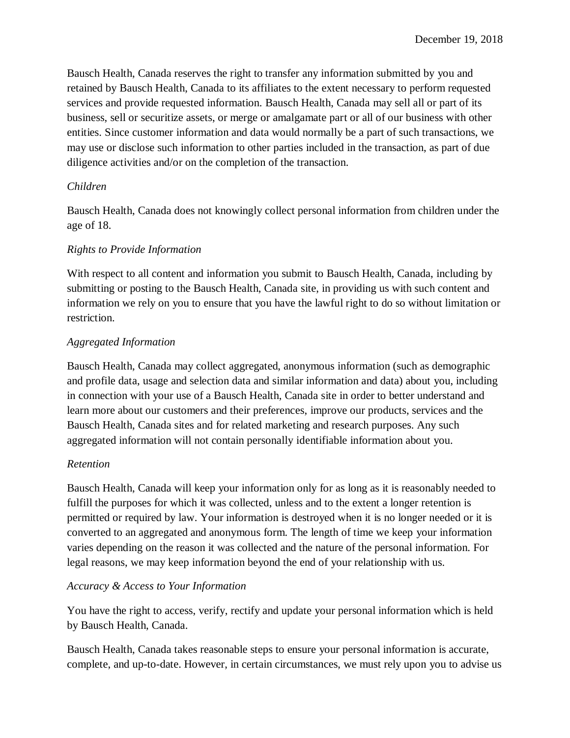Bausch Health, Canada reserves the right to transfer any information submitted by you and retained by Bausch Health, Canada to its affiliates to the extent necessary to perform requested services and provide requested information. Bausch Health, Canada may sell all or part of its business, sell or securitize assets, or merge or amalgamate part or all of our business with other entities. Since customer information and data would normally be a part of such transactions, we may use or disclose such information to other parties included in the transaction, as part of due diligence activities and/or on the completion of the transaction.

# *Children*

Bausch Health, Canada does not knowingly collect personal information from children under the age of 18.

## *Rights to Provide Information*

With respect to all content and information you submit to Bausch Health, Canada, including by submitting or posting to the Bausch Health, Canada site, in providing us with such content and information we rely on you to ensure that you have the lawful right to do so without limitation or restriction.

## *Aggregated Information*

Bausch Health, Canada may collect aggregated, anonymous information (such as demographic and profile data, usage and selection data and similar information and data) about you, including in connection with your use of a Bausch Health, Canada site in order to better understand and learn more about our customers and their preferences, improve our products, services and the Bausch Health, Canada sites and for related marketing and research purposes. Any such aggregated information will not contain personally identifiable information about you.

#### *Retention*

Bausch Health, Canada will keep your information only for as long as it is reasonably needed to fulfill the purposes for which it was collected, unless and to the extent a longer retention is permitted or required by law. Your information is destroyed when it is no longer needed or it is converted to an aggregated and anonymous form. The length of time we keep your information varies depending on the reason it was collected and the nature of the personal information. For legal reasons, we may keep information beyond the end of your relationship with us.

#### *Accuracy & Access to Your Information*

You have the right to access, verify, rectify and update your personal information which is held by Bausch Health, Canada.

Bausch Health, Canada takes reasonable steps to ensure your personal information is accurate, complete, and up-to-date. However, in certain circumstances, we must rely upon you to advise us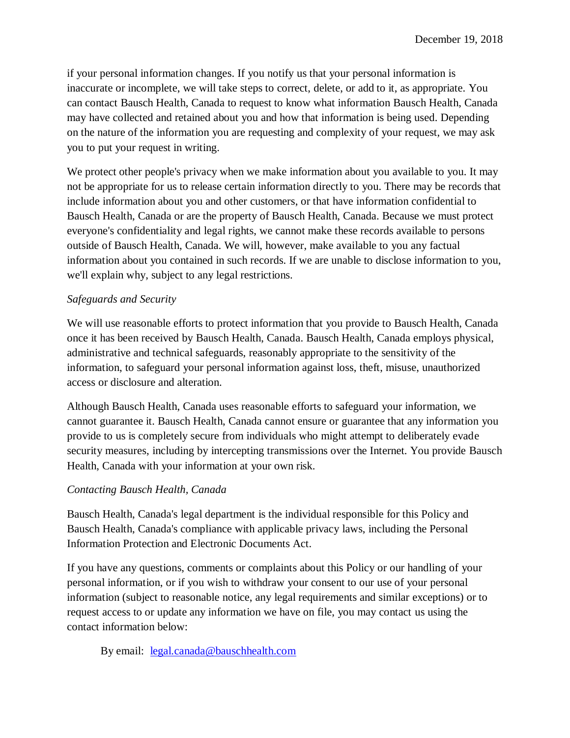if your personal information changes. If you notify us that your personal information is inaccurate or incomplete, we will take steps to correct, delete, or add to it, as appropriate. You can contact Bausch Health, Canada to request to know what information Bausch Health, Canada may have collected and retained about you and how that information is being used. Depending on the nature of the information you are requesting and complexity of your request, we may ask you to put your request in writing.

We protect other people's privacy when we make information about you available to you. It may not be appropriate for us to release certain information directly to you. There may be records that include information about you and other customers, or that have information confidential to Bausch Health, Canada or are the property of Bausch Health, Canada. Because we must protect everyone's confidentiality and legal rights, we cannot make these records available to persons outside of Bausch Health, Canada. We will, however, make available to you any factual information about you contained in such records. If we are unable to disclose information to you, we'll explain why, subject to any legal restrictions.

#### *Safeguards and Security*

We will use reasonable efforts to protect information that you provide to Bausch Health, Canada once it has been received by Bausch Health, Canada. Bausch Health, Canada employs physical, administrative and technical safeguards, reasonably appropriate to the sensitivity of the information, to safeguard your personal information against loss, theft, misuse, unauthorized access or disclosure and alteration.

Although Bausch Health, Canada uses reasonable efforts to safeguard your information, we cannot guarantee it. Bausch Health, Canada cannot ensure or guarantee that any information you provide to us is completely secure from individuals who might attempt to deliberately evade security measures, including by intercepting transmissions over the Internet. You provide Bausch Health, Canada with your information at your own risk.

#### *Contacting Bausch Health, Canada*

Bausch Health, Canada's legal department is the individual responsible for this Policy and Bausch Health, Canada's compliance with applicable privacy laws, including the Personal Information Protection and Electronic Documents Act.

If you have any questions, comments or complaints about this Policy or our handling of your personal information, or if you wish to withdraw your consent to our use of your personal information (subject to reasonable notice, any legal requirements and similar exceptions) or to request access to or update any information we have on file, you may contact us using the contact information below:

By email: [legal.canada@bauschhealth.com](mailto:legal.canada@bauschhealth.com)